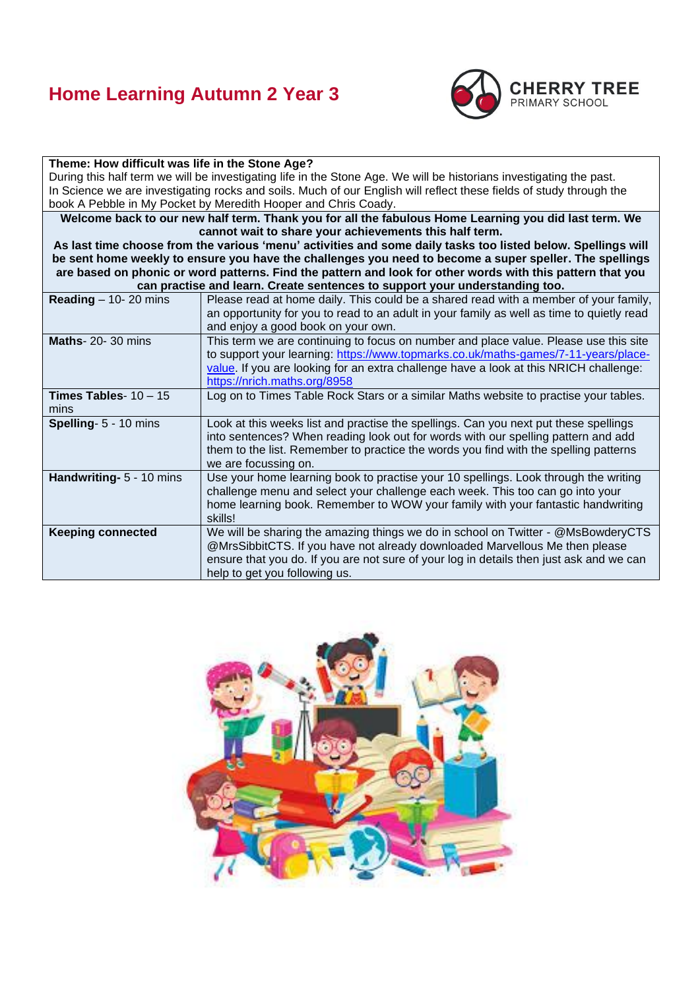## **Home Learning Autumn 2 Year 3**



#### **Theme: How difficult was life in the Stone Age?** During this half term we will be investigating life in the Stone Age. We will be historians investigating the past. In Science we are investigating rocks and soils. Much of our English will reflect these fields of study through the book A Pebble in My Pocket by Meredith Hooper and Chris Coady. **Welcome back to our new half term. Thank you for all the fabulous Home Learning you did last term. We cannot wait to share your achievements this half term. As last time choose from the various 'menu' activities and some daily tasks too listed below. Spellings will be sent home weekly to ensure you have the challenges you need to become a super speller. The spellings are based on phonic or word patterns. Find the pattern and look for other words with this pattern that you can practise and learn. Create sentences to support your understanding too. Reading** – 10- 20 mins Please read at home daily. This could be a shared read with a member of your family, an opportunity for you to read to an adult in your family as well as time to quietly read and enjoy a good book on your own. **Maths**- 20- 30 mins This term we are continuing to focus on number and place value. Please use this site to support your learning: [https://www.topmarks.co.uk/maths-games/7-11-years/place](https://www.topmarks.co.uk/maths-games/7-11-years/place-value)[value.](https://www.topmarks.co.uk/maths-games/7-11-years/place-value) If you are looking for an extra challenge have a look at this NRICH challenge: <https://nrich.maths.org/8958> **Times Tables**- 10 – 15 mins Log on to Times Table Rock Stars or a similar Maths website to practise your tables. **Spelling**- 5 - 10 mins Look at this weeks list and practise the spellings. Can you next put these spellings into sentences? When reading look out for words with our spelling pattern and add them to the list. Remember to practice the words you find with the spelling patterns we are focussing on. **Handwriting-** 5 - 10 mins Use your home learning book to practise your 10 spellings. Look through the writing challenge menu and select your challenge each week. This too can go into your home learning book. Remember to WOW your family with your fantastic handwriting skills! **Keeping connected** We will be sharing the amazing things we do in school on Twitter - @MsBowderyCTS @MrsSibbitCTS. If you have not already downloaded Marvellous Me then please ensure that you do. If you are not sure of your log in details then just ask and we can help to get you following us.